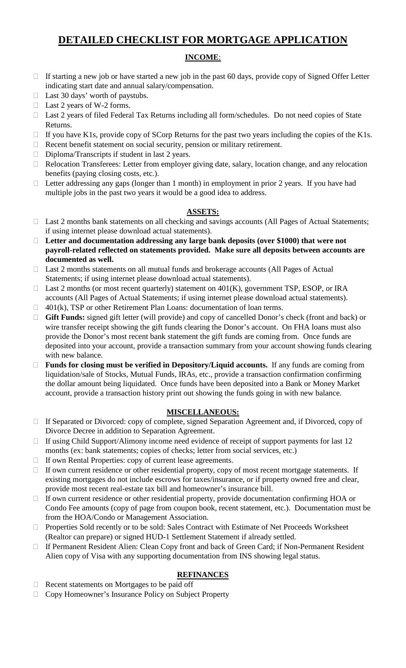# **DETAILED CHECKLIST FOR MORTGAGE APPLICATION**

#### **INCOME**:

- $\Box$  If starting a new job or have started a new job in the past 60 days, provide copy of Signed Offer Letter indicating start date and annual salary/compensation.
- $\Box$  Last 30 days' worth of paystubs.
- □ Last 2 years of W-2 forms.
- □ Last 2 years of filed Federal Tax Returns including all form/schedules. Do not need copies of State Returns.
- $\Box$  If you have K1s, provide copy of SCorp Returns for the past two years including the copies of the K1s.
- $\Box$  Recent benefit statement on social security, pension or military retirement.
- □ Diploma/Transcripts if student in last 2 years.
- Relocation Transferees: Letter from employer giving date, salary, location change, and any relocation benefits (paying closing costs, etc.).
- $\Box$  Letter addressing any gaps (longer than 1 month) in employment in prior 2 years. If you have had multiple jobs in the past two years it would be a good idea to address.

#### **ASSETS:**

- □ Last 2 months bank statements on all checking and savings accounts (All Pages of Actual Statements; if using internet please download actual statements).
- **Letter and documentation addressing any large bank deposits (over \$1000) that were not payroll-related reflected on statements provided. Make sure all deposits between accounts are documented as well.**
- □ Last 2 months statements on all mutual funds and brokerage accounts (All Pages of Actual Statements; if using internet please download actual statements).
- □ Last 2 months (or most recent quarterly) statement on 401(K), government TSP, ESOP, or IRA accounts (All Pages of Actual Statements; if using internet please download actual statements).
- $\Box$  401(k), TSP or other Retirement Plan Loans: documentation of loan terms.
- **Gift Funds:** signed gift letter (will provide) and copy of cancelled Donor's check (front and back) or wire transfer receipt showing the gift funds clearing the Donor's account. On FHA loans must also provide the Donor's most recent bank statement the gift funds are coming from. Once funds are deposited into your account, provide a transaction summary from your account showing funds clearing with new balance.
- **Funds for closing must be verified in Depository/Liquid accounts.** If any funds are coming from liquidation/sale of Stocks, Mutual Funds, IRAs, etc., provide a transaction confirmation confirming the dollar amount being liquidated. Once funds have been deposited into a Bank or Money Market account, provide a transaction history print out showing the funds going in with new balance.

### **MISCELLANEOUS:**

- If Separated or Divorced: copy of complete, signed Separation Agreement and, if Divorced, copy of Divorce Decree in addition to Separation Agreement.
- $\Box$  If using Child Support/Alimony income need evidence of receipt of support payments for last 12 months (ex: bank statements; copies of checks; letter from social services, etc.)
- If own Rental Properties: copy of current lease agreements.
- If own current residence or other residential property, copy of most recent mortgage statements. If existing mortgages do not include escrows for taxes/insurance, or if property owned free and clear, provide most recent real-estate tax bill and homeowner's insurance bill.
- □ If own current residence or other residential property, provide documentation confirming HOA or Condo Fee amounts (copy of page from coupon book, recent statement, etc.). Documentation must be from the HOA/Condo or Management Association.
- □ Properties Sold recently or to be sold: Sales Contract with Estimate of Net Proceeds Worksheet (Realtor can prepare) or signed HUD-1 Settlement Statement if already settled.
- If Permanent Resident Alien: Clean Copy front and back of Green Card; if Non-Permanent Resident Alien copy of Visa with any supporting documentation from INS showing legal status.

### **REFINANCES**

- $\Box$  Recent statements on Mortgages to be paid off
- □ Copy Homeowner's Insurance Policy on Subject Property